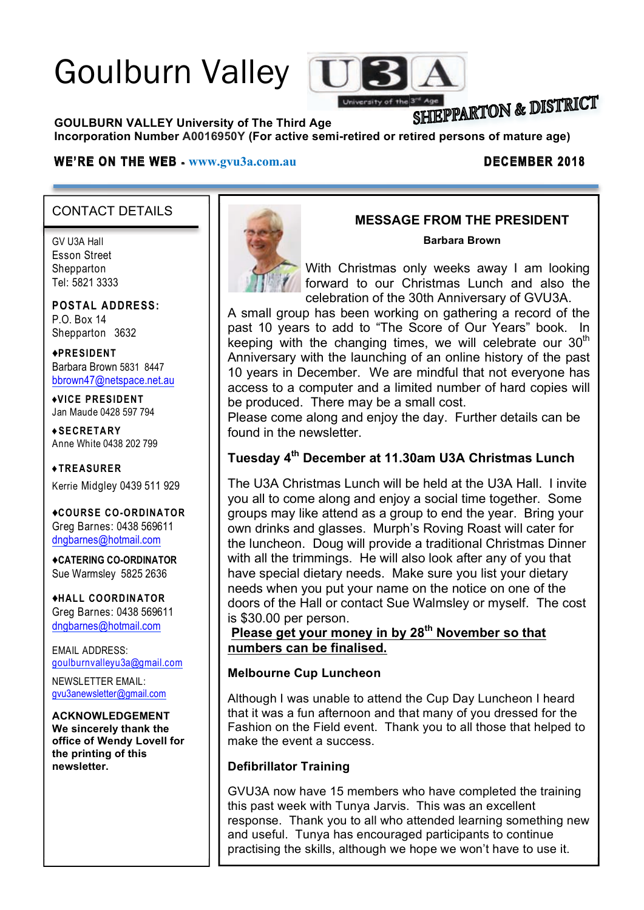# Goulburn Valley



# **SHIEPPARTON & DISTRICT**

**GOULBURN VALLEY University of The Third Age** 

Incorporation Number A0016950Y (For active semi-retired or retired persons of mature age)

### **WE'RE ON THE WEB - www.gvu3a.com.au DECEMBER 2018**

# CONTACT DETAILS

GV U3A Hall Esson Street **Shepparton** Tel: 5821 3333

**POSTAL ADDRESS:** P.O. Box 14 Shepparton 3632

♦**PRESIDENT** Barbara Brown 5831 8447 bbrown47@netspace.net.au

♦**VICE PRESIDENT** Jan Maude 0428 597 794

**♦SECRETARY** Anne White 0438 202 799

**♦TREASURER** Kerrie Midgley 0439 511 929

♦**COURSE CO-ORDINATOR** Greg Barnes: 0438 569611 dngbarnes@hotmail.com

♦**CATERING CO-ORDINATOR** Sue Warmsley 5825 2636

♦**HALL COORDINATOR** Greg Barnes: 0438 569611 dngbarnes@hotmail.com

EMAIL ADDRESS: goulburnvalleyu3a@gmail.com

NEWSLETTER EMAIL: gvu3anewsletter@gmail.com

#### **ACKNOWLEDGEMENT**

**We sincerely thank the office of Wendy Lovell for the printing of this newsletter.**



# **MESSAGE FROM THE PRESIDENT**

**Barbara Brown**

With Christmas only weeks away I am looking forward to our Christmas Lunch and also the celebration of the 30th Anniversary of GVU3A.

A small group has been working on gathering a record of the past 10 years to add to "The Score of Our Years" book. In keeping with the changing times, we will celebrate our  $30<sup>th</sup>$ Anniversary with the launching of an online history of the past 10 years in December. We are mindful that not everyone has access to a computer and a limited number of hard copies will be produced. There may be a small cost.

Please come along and enjoy the day. Further details can be found in the newsletter.

# **Tuesday 4th December at 11.30am U3A Christmas Lunch**

The U3A Christmas Lunch will be held at the U3A Hall. I invite you all to come along and enjoy a social time together. Some groups may like attend as a group to end the year. Bring your own drinks and glasses. Murph's Roving Roast will cater for the luncheon. Doug will provide a traditional Christmas Dinner with all the trimmings. He will also look after any of you that have special dietary needs. Make sure you list your dietary needs when you put your name on the notice on one of the doors of the Hall or contact Sue Walmsley or myself. The cost is \$30.00 per person.

**Please get your money in by 28th November so that numbers can be finalised.**

#### **Melbourne Cup Luncheon**

Although I was unable to attend the Cup Day Luncheon I heard that it was a fun afternoon and that many of you dressed for the Fashion on the Field event. Thank you to all those that helped to make the event a success.

# **Defibrillator Training**

GVU3A now have 15 members who have completed the training this past week with Tunya Jarvis. This was an excellent response. Thank you to all who attended learning something new and useful. Tunya has encouraged participants to continue practising the skills, although we hope we won't have to use it.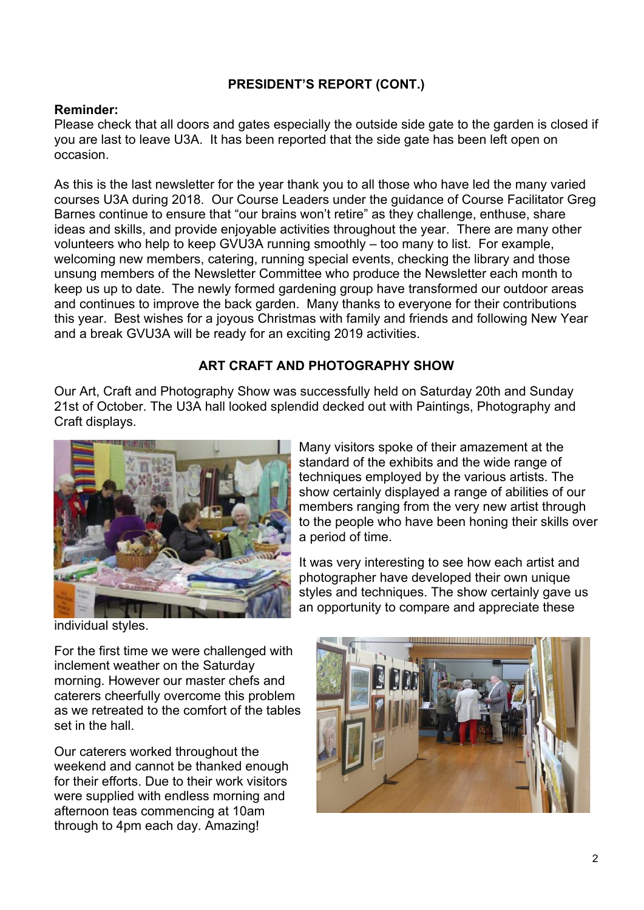# **PRESIDENT'S REPORT (CONT.)**

# **Reminder:**

Please check that all doors and gates especially the outside side gate to the garden is closed if you are last to leave U3A. It has been reported that the side gate has been left open on occasion.

As this is the last newsletter for the year thank you to all those who have led the many varied courses U3A during 2018. Our Course Leaders under the guidance of Course Facilitator Greg Barnes continue to ensure that "our brains won't retire" as they challenge, enthuse, share ideas and skills, and provide enjoyable activities throughout the year. There are many other volunteers who help to keep GVU3A running smoothly – too many to list. For example, welcoming new members, catering, running special events, checking the library and those unsung members of the Newsletter Committee who produce the Newsletter each month to keep us up to date. The newly formed gardening group have transformed our outdoor areas and continues to improve the back garden. Many thanks to everyone for their contributions this year. Best wishes for a joyous Christmas with family and friends and following New Year and a break GVU3A will be ready for an exciting 2019 activities.

# **ART CRAFT AND PHOTOGRAPHY SHOW**

Our Art, Craft and Photography Show was successfully held on Saturday 20th and Sunday 21st of October. The U3A hall looked splendid decked out with Paintings, Photography and Craft displays.



Many visitors spoke of their amazement at the standard of the exhibits and the wide range of techniques employed by the various artists. The show certainly displayed a range of abilities of our members ranging from the very new artist through to the people who have been honing their skills over a period of time.

It was very interesting to see how each artist and photographer have developed their own unique styles and techniques. The show certainly gave us an opportunity to compare and appreciate these

individual styles.

For the first time we were challenged with inclement weather on the Saturday morning. However our master chefs and caterers cheerfully overcome this problem as we retreated to the comfort of the tables set in the hall

Our caterers worked throughout the weekend and cannot be thanked enough for their efforts. Due to their work visitors were supplied with endless morning and afternoon teas commencing at 10am through to 4pm each day. Amazing!

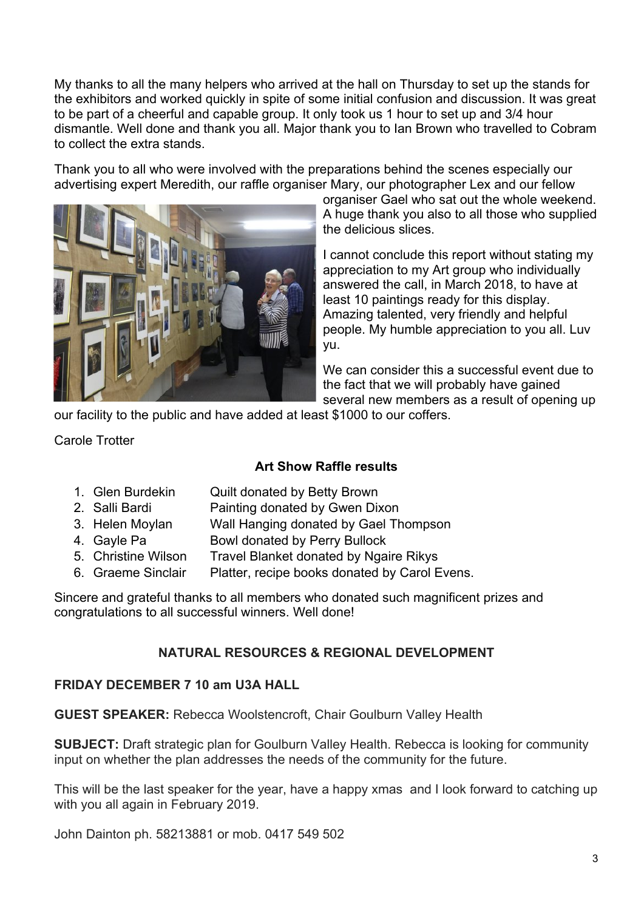My thanks to all the many helpers who arrived at the hall on Thursday to set up the stands for the exhibitors and worked quickly in spite of some initial confusion and discussion. It was great to be part of a cheerful and capable group. It only took us 1 hour to set up and 3/4 hour dismantle. Well done and thank you all. Major thank you to Ian Brown who travelled to Cobram to collect the extra stands.

Thank you to all who were involved with the preparations behind the scenes especially our advertising expert Meredith, our raffle organiser Mary, our photographer Lex and our fellow



organiser Gael who sat out the whole weekend. A huge thank you also to all those who supplied the delicious slices.

I cannot conclude this report without stating my appreciation to my Art group who individually answered the call, in March 2018, to have at least 10 paintings ready for this display. Amazing talented, very friendly and helpful people. My humble appreciation to you all. Luv yu.

We can consider this a successful event due to the fact that we will probably have gained several new members as a result of opening up

our facility to the public and have added at least \$1000 to our coffers.

Carole Trotter

# **Art Show Raffle results**

- 1. Glen Burdekin Quilt donated by Betty Brown
- 2. Salli Bardi Painting donated by Gwen Dixon
- 3. Helen Moylan Wall Hanging donated by Gael Thompson
- 4. Gayle Pa Bowl donated by Perry Bullock
- 5. Christine Wilson Travel Blanket donated by Ngaire Rikys
- 6. Graeme Sinclair Platter, recipe books donated by Carol Evens.

Sincere and grateful thanks to all members who donated such magnificent prizes and congratulations to all successful winners. Well done!

# **NATURAL RESOURCES & REGIONAL DEVELOPMENT**

# **FRIDAY DECEMBER 7 10 am U3A HALL**

**GUEST SPEAKER:** Rebecca Woolstencroft, Chair Goulburn Valley Health

**SUBJECT:** Draft strategic plan for Goulburn Valley Health. Rebecca is looking for community input on whether the plan addresses the needs of the community for the future.

This will be the last speaker for the year, have a happy xmas and I look forward to catching up with you all again in February 2019.

John Dainton ph. 58213881 or mob. 0417 549 502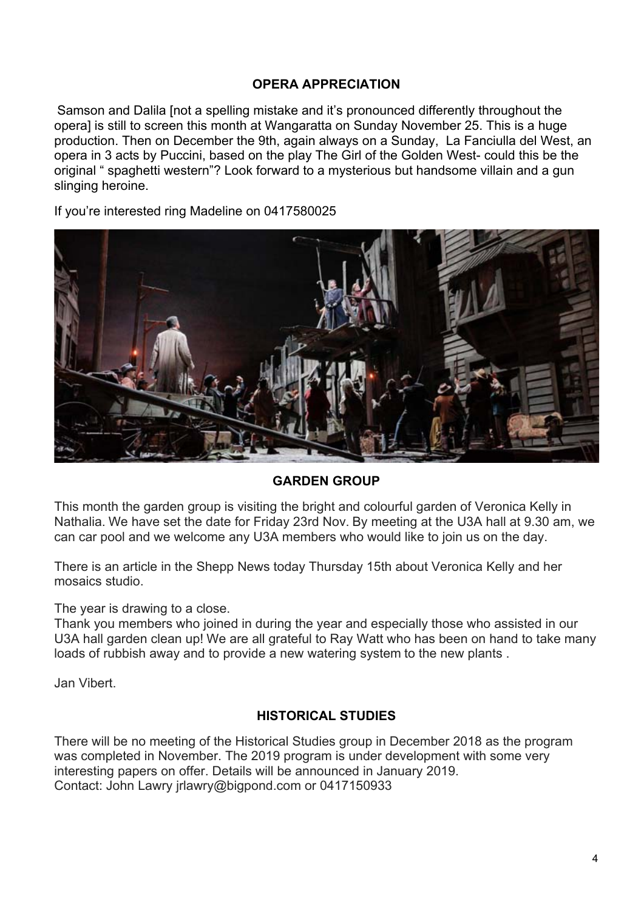#### **OPERA APPRECIATION**

Samson and Dalila [not a spelling mistake and it's pronounced differently throughout the opera] is still to screen this month at Wangaratta on Sunday November 25. This is a huge production. Then on December the 9th, again always on a Sunday, La Fanciulla del West, an opera in 3 acts by Puccini, based on the play The Girl of the Golden West- could this be the original " spaghetti western"? Look forward to a mysterious but handsome villain and a gun slinging heroine.

If you're interested ring Madeline on 0417580025



# **GARDEN GROUP**

This month the garden group is visiting the bright and colourful garden of Veronica Kelly in Nathalia. We have set the date for Friday 23rd Nov. By meeting at the U3A hall at 9.30 am, we can car pool and we welcome any U3A members who would like to join us on the day.

There is an article in the Shepp News today Thursday 15th about Veronica Kelly and her mosaics studio.

The year is drawing to a close.

Thank you members who joined in during the year and especially those who assisted in our U3A hall garden clean up! We are all grateful to Ray Watt who has been on hand to take many loads of rubbish away and to provide a new watering system to the new plants .

Jan Vibert.

# **HISTORICAL STUDIES**

There will be no meeting of the Historical Studies group in December 2018 as the program was completed in November. The 2019 program is under development with some very interesting papers on offer. Details will be announced in January 2019. Contact: John Lawry jrlawry@bigpond.com or 0417150933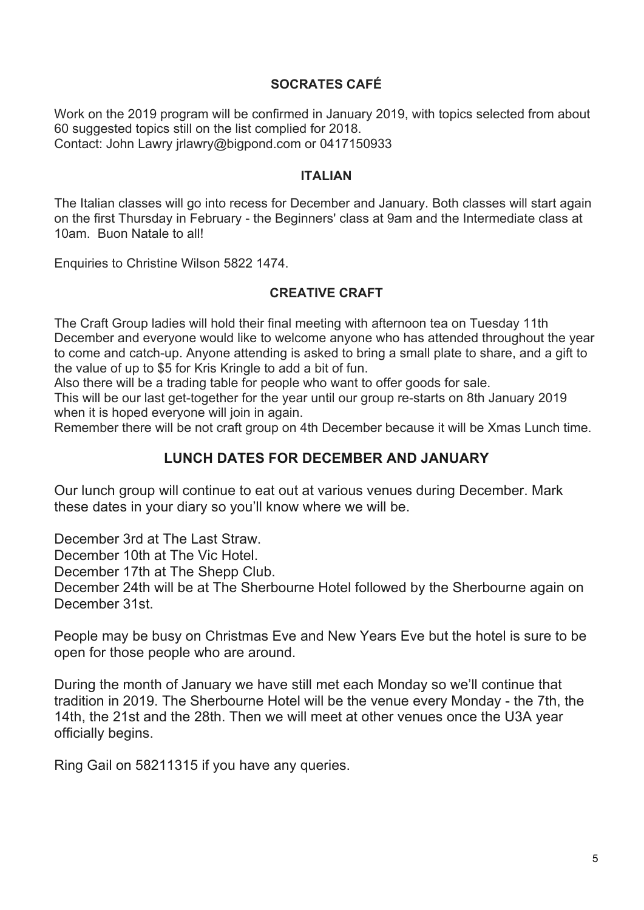# **SOCRATES CAFÉ**

Work on the 2019 program will be confirmed in January 2019, with topics selected from about 60 suggested topics still on the list complied for 2018. Contact: John Lawry jrlawry@bigpond.com or 0417150933

#### **ITALIAN**

The Italian classes will go into recess for December and January. Both classes will start again on the first Thursday in February - the Beginners' class at 9am and the Intermediate class at 10am. Buon Natale to all!

Enquiries to Christine Wilson 5822 1474.

### **CREATIVE CRAFT**

The Craft Group ladies will hold their final meeting with afternoon tea on Tuesday 11th December and everyone would like to welcome anyone who has attended throughout the year to come and catch-up. Anyone attending is asked to bring a small plate to share, and a gift to the value of up to \$5 for Kris Kringle to add a bit of fun.

Also there will be a trading table for people who want to offer goods for sale.

This will be our last get-together for the year until our group re-starts on 8th January 2019 when it is hoped everyone will join in again.

Remember there will be not craft group on 4th December because it will be Xmas Lunch time.

# **LUNCH DATES FOR DECEMBER AND JANUARY**

Our lunch group will continue to eat out at various venues during December. Mark these dates in your diary so you'll know where we will be.

December 3rd at The Last Straw.

December 10th at The Vic Hotel.

December 17th at The Shepp Club.

December 24th will be at The Sherbourne Hotel followed by the Sherbourne again on December 31st.

People may be busy on Christmas Eve and New Years Eve but the hotel is sure to be open for those people who are around.

During the month of January we have still met each Monday so we'll continue that tradition in 2019. The Sherbourne Hotel will be the venue every Monday - the 7th, the 14th, the 21st and the 28th. Then we will meet at other venues once the U3A year officially begins.

Ring Gail on 58211315 if you have any queries.